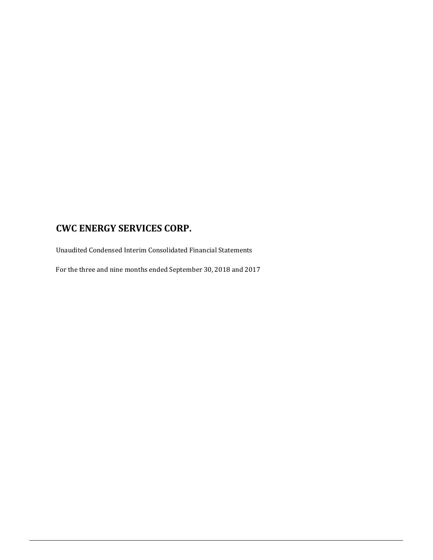Unaudited Condensed Interim Consolidated Financial Statements

For the three and nine months ended September 30, 2018 and 2017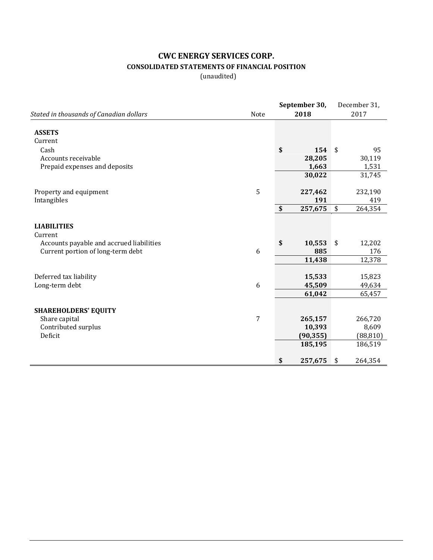### **CWC ENERGY SERVICES CORP. CONSOLIDATED STATEMENTS OF FINANCIAL POSITION**

(unaudited)

|                                          |                | September 30, | December 31,  |
|------------------------------------------|----------------|---------------|---------------|
| Stated in thousands of Canadian dollars  | Note           | 2018          | 2017          |
| <b>ASSETS</b>                            |                |               |               |
| Current                                  |                |               |               |
| Cash                                     |                | \$<br>154     | \$<br>95      |
| Accounts receivable                      |                | 28,205        | 30,119        |
| Prepaid expenses and deposits            |                | 1,663         | 1,531         |
|                                          |                | 30,022        | 31,745        |
| Property and equipment                   | 5              | 227,462       | 232,190       |
| Intangibles                              |                | 191           | 419           |
|                                          |                | \$<br>257,675 | \$<br>264,354 |
| <b>LIABILITIES</b><br>Current            |                |               |               |
| Accounts payable and accrued liabilities |                | \$<br>10,553  | \$<br>12,202  |
| Current portion of long-term debt        | 6              | 885           | 176           |
|                                          |                | 11,438        | 12,378        |
| Deferred tax liability                   |                | 15,533        | 15,823        |
| Long-term debt                           | 6              | 45,509        | 49,634        |
|                                          |                | 61,042        | 65,457        |
| <b>SHAREHOLDERS' EQUITY</b>              |                |               |               |
| Share capital                            | $\overline{7}$ | 265,157       | 266,720       |
| Contributed surplus                      |                | 10,393        | 8,609         |
| Deficit                                  |                | (90, 355)     | (88, 810)     |
|                                          |                | 185,195       | 186,519       |
|                                          |                | \$<br>257,675 | \$<br>264,354 |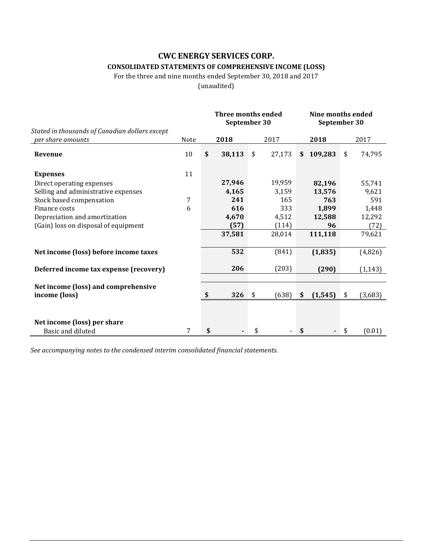### **CONSOLIDATED STATEMENTS OF COMPREHENSIVE INCOME (LOSS)**

For the three and nine months ended September 30, 2018 and 2017

(unaudited)

|                                                                     |      | Three months ended<br>September 30 |    |        |    | Nine months ended<br>September 30 |    |          |
|---------------------------------------------------------------------|------|------------------------------------|----|--------|----|-----------------------------------|----|----------|
| Stated in thousands of Canadian dollars except<br>per share amounts | Note | 2018                               |    | 2017   |    | 2018                              |    | 2017     |
| Revenue                                                             | 10   | \$<br>38,113                       | \$ | 27,173 | \$ | 109,283                           | \$ | 74,795   |
| <b>Expenses</b>                                                     | 11   |                                    |    |        |    |                                   |    |          |
| Direct operating expenses                                           |      | 27,946                             |    | 19,959 |    | 82,196                            |    | 55,741   |
| Selling and administrative expenses                                 |      | 4,165                              |    | 3,159  |    | 13,576                            |    | 9,621    |
| Stock based compensation                                            | 7    | 241                                |    | 165    |    | 763                               |    | 591      |
| Finance costs                                                       | 6    | 616                                |    | 333    |    | 1,899                             |    | 1,448    |
| Depreciation and amortization                                       |      | 4,670                              |    | 4,512  |    | 12,588                            |    | 12,292   |
| (Gain) loss on disposal of equipment                                |      | (57)                               |    | (114)  |    | 96                                |    | (72)     |
|                                                                     |      | 37,581                             |    | 28,014 |    | 111,118                           |    | 79,621   |
| Net income (loss) before income taxes                               |      | 532                                |    | (841)  |    | (1, 835)                          |    | (4,826)  |
| Deferred income tax expense (recovery)                              |      | 206                                |    | (203)  |    | (290)                             |    | (1, 143) |
|                                                                     |      |                                    |    |        |    |                                   |    |          |
| Net income (loss) and comprehensive<br>income (loss)                |      | \$<br>326                          | \$ | (638)  | \$ | (1, 545)                          | \$ | (3,683)  |
|                                                                     |      |                                    |    |        |    |                                   |    |          |
| Net income (loss) per share                                         |      |                                    |    |        |    |                                   |    |          |
| Basic and diluted                                                   | 7    | \$                                 | \$ |        |    |                                   | \$ | (0.01)   |

*See accompanying notes to the condensed interim consolidated financial statements.*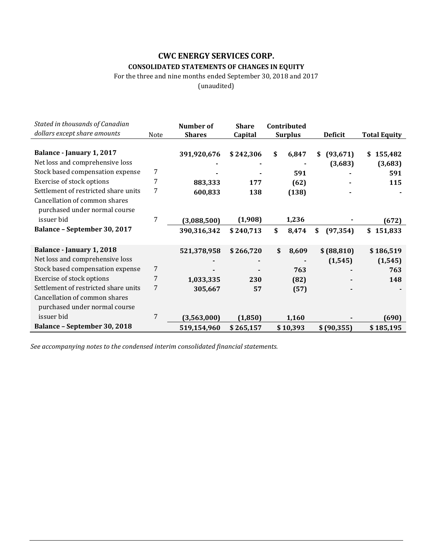### **CWC ENERGY SERVICES CORP. CONSOLIDATED STATEMENTS OF CHANGES IN EQUITY**

For the three and nine months ended September 30, 2018 and 2017

(unaudited)

| Stated in thousands of Canadian<br>dollars except share amounts | Note | Number of<br><b>Shares</b> | <b>Share</b><br>Capital | Contributed<br><b>Surplus</b> | <b>Deficit</b>  | <b>Total Equity</b> |
|-----------------------------------------------------------------|------|----------------------------|-------------------------|-------------------------------|-----------------|---------------------|
|                                                                 |      |                            |                         |                               |                 |                     |
| Balance - January 1, 2017                                       |      | 391,920,676                | \$242,306               | \$<br>6,847                   | (93, 671)<br>S  | 155,482<br>\$       |
| Net loss and comprehensive loss                                 |      |                            |                         |                               | (3,683)         | (3,683)             |
| Stock based compensation expense                                | 7    |                            |                         | 591                           |                 | 591                 |
| Exercise of stock options                                       | 7    | 883,333                    | 177                     | (62)                          |                 | 115                 |
| Settlement of restricted share units                            | 7    | 600,833                    | 138                     | (138)                         |                 |                     |
| Cancellation of common shares                                   |      |                            |                         |                               |                 |                     |
| purchased under normal course                                   |      |                            |                         |                               |                 |                     |
| issuer bid                                                      | 7    | (3,088,500)                | (1,908)                 | 1,236                         |                 | (672)               |
| <b>Balance - September 30, 2017</b>                             |      | 390,316,342                | \$240,713               | \$<br>8,474                   | (97, 354)<br>\$ | 151,833<br>\$       |
|                                                                 |      |                            |                         |                               |                 |                     |
| Balance - January 1, 2018                                       |      | 521,378,958                | \$266,720               | \$<br>8,609                   | \$ (88, 810)    | \$186,519           |
| Net loss and comprehensive loss                                 |      |                            |                         |                               | (1, 545)        | (1, 545)            |
| Stock based compensation expense                                | 7    |                            |                         | 763                           |                 | 763                 |
| Exercise of stock options                                       | 7    | 1,033,335                  | 230                     | (82)                          |                 | 148                 |
| Settlement of restricted share units                            | 7    | 305,667                    | 57                      | (57)                          |                 |                     |
| Cancellation of common shares                                   |      |                            |                         |                               |                 |                     |
| purchased under normal course                                   |      |                            |                         |                               |                 |                     |
| issuer bid                                                      | 7    | (3,563,000)                | (1, 850)                | 1,160                         |                 | (690)               |
| <b>Balance - September 30, 2018</b>                             |      | 519,154,960                | \$265,157               | \$10,393                      | \$(90,355)      | \$185,195           |

*See accompanying notes to the condensed interim consolidated financial statements.*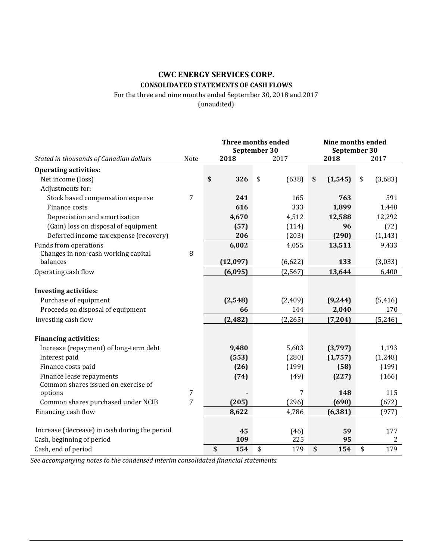### **CWC ENERGY SERVICES CORP. CONSOLIDATED STATEMENTS OF CASH FLOWS**

For the three and nine months ended September 30, 2018 and 2017

(unaudited)

|                                               |                | <b>Three months ended</b><br>September 30 |             |    | Nine months ended<br>September 30 |    |          |
|-----------------------------------------------|----------------|-------------------------------------------|-------------|----|-----------------------------------|----|----------|
| Stated in thousands of Canadian dollars       | Note           | 2018                                      | 2017        |    | 2018                              |    | 2017     |
| <b>Operating activities:</b>                  |                |                                           |             |    |                                   |    |          |
| Net income (loss)                             |                | \$<br>326                                 | (638)<br>\$ | \$ | (1, 545)                          | \$ | (3,683)  |
| Adjustments for:                              |                |                                           |             |    |                                   |    |          |
| Stock based compensation expense              | $\overline{7}$ | 241                                       | 165         |    | 763                               |    | 591      |
| Finance costs                                 |                | 616                                       | 333         |    | 1,899                             |    | 1,448    |
| Depreciation and amortization                 |                | 4,670                                     | 4,512       |    | 12,588                            |    | 12,292   |
| (Gain) loss on disposal of equipment          |                | (57)                                      | (114)       |    | 96                                |    | (72)     |
| Deferred income tax expense (recovery)        |                | 206                                       | (203)       |    | (290)                             |    | (1, 143) |
| Funds from operations                         |                | 6,002                                     | 4,055       |    | 13,511                            |    | 9,433    |
| Changes in non-cash working capital           | 8              |                                           |             |    |                                   |    |          |
| balances                                      |                | (12,097)                                  | (6, 622)    |    | 133                               |    | (3,033)  |
| Operating cash flow                           |                | (6,095)                                   | (2, 567)    |    | 13,644                            |    | 6,400    |
|                                               |                |                                           |             |    |                                   |    |          |
| <b>Investing activities:</b>                  |                |                                           |             |    |                                   |    |          |
| Purchase of equipment                         |                | (2,548)                                   | (2,409)     |    | (9, 244)                          |    | (5, 416) |
| Proceeds on disposal of equipment             |                | 66                                        | 144         |    | 2,040                             |    | 170      |
| Investing cash flow                           |                | (2, 482)                                  | (2, 265)    |    | (7, 204)                          |    | (5, 246) |
| <b>Financing activities:</b>                  |                |                                           |             |    |                                   |    |          |
| Increase (repayment) of long-term debt        |                | 9,480                                     | 5,603       |    | (3,797)                           |    | 1,193    |
| Interest paid                                 |                | (553)                                     | (280)       |    | (1,757)                           |    | (1, 248) |
| Finance costs paid                            |                | (26)                                      | (199)       |    | (58)                              |    | (199)    |
| Finance lease repayments                      |                | (74)                                      | (49)        |    | (227)                             |    | (166)    |
| Common shares issued on exercise of           |                |                                           |             |    |                                   |    |          |
| options                                       | $\overline{7}$ |                                           | 7           |    | 148                               |    | 115      |
| Common shares purchased under NCIB            | 7              | (205)                                     | (296)       |    | (690)                             |    | (672)    |
| Financing cash flow                           |                | 8,622                                     | 4,786       |    | (6, 381)                          |    | (977)    |
|                                               |                |                                           |             |    |                                   |    |          |
| Increase (decrease) in cash during the period |                | 45                                        | (46)        |    | 59                                |    | 177      |
| Cash, beginning of period                     |                | 109                                       | 225         |    | 95                                |    | 2        |
| Cash, end of period                           |                | \$<br>154                                 | \$<br>179   | \$ | 154                               | \$ | 179      |

*See accompanying notes to the condensed interim consolidated financial statements.*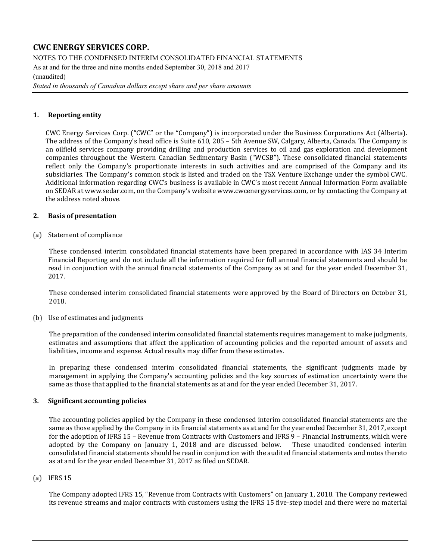NOTES TO THE CONDENSED INTERIM CONSOLIDATED FINANCIAL STATEMENTS As at and for the three and nine months ended September 30, 2018 and 2017 (unaudited)

*Stated in thousands of Canadian dollars except share and per share amounts*

### **1. Reporting entity**

CWC Energy Services Corp. ("CWC" or the "Company") is incorporated under the Business Corporations Act (Alberta). The address of the Company's head office is Suite 610, 205 – 5th Avenue SW, Calgary, Alberta, Canada. The Company is an oilfield services company providing drilling and production services to oil and gas exploration and development companies throughout the Western Canadian Sedimentary Basin ("WCSB"). These consolidated financial statements reflect only the Company's proportionate interests in such activities and are comprised of the Company and its subsidiaries. The Company's common stock is listed and traded on the TSX Venture Exchange under the symbol CWC. Additional information regarding CWC's business is available in CWC's most recent Annual Information Form available on SEDAR a[t www.sedar.com,](http://www.sedar.com/) on the Company's websit[e www.cwcenergyservices.com,](http://www.cwcenergyservices.com/) or by contacting the Company at the address noted above.

### **2. Basis of presentation**

(a) Statement of compliance

These condensed interim consolidated financial statements have been prepared in accordance with IAS 34 Interim Financial Reporting and do not include all the information required for full annual financial statements and should be read in conjunction with the annual financial statements of the Company as at and for the year ended December 31, 2017.

These condensed interim consolidated financial statements were approved by the Board of Directors on October 31, 2018.

(b) Use of estimates and judgments

The preparation of the condensed interim consolidated financial statements requires management to make judgments, estimates and assumptions that affect the application of accounting policies and the reported amount of assets and liabilities, income and expense. Actual results may differ from these estimates.

In preparing these condensed interim consolidated financial statements, the significant judgments made by management in applying the Company's accounting policies and the key sources of estimation uncertainty were the same as those that applied to the financial statements as at and for the year ended December 31, 2017.

### **3. Significant accounting policies**

The accounting policies applied by the Company in these condensed interim consolidated financial statements are the same as those applied by the Company in its financial statements as at and for the year ended December 31, 2017, except for the adoption of IFRS 15 – Revenue from Contracts with Customers and IFRS 9 – Financial Instruments, which were adopted by the Company on January 1, 2018 and are discussed below. These unaudited condensed interim adopted by the Company on January 1, 2018 and are discussed below. consolidated financial statements should be read in conjunction with the audited financial statements and notes thereto as at and for the year ended December 31, 2017 as filed on SEDAR.

#### (a) IFRS 15

The Company adopted IFRS 15, "Revenue from Contracts with Customers" on January 1, 2018. The Company reviewed its revenue streams and major contracts with customers using the IFRS 15 five-step model and there were no material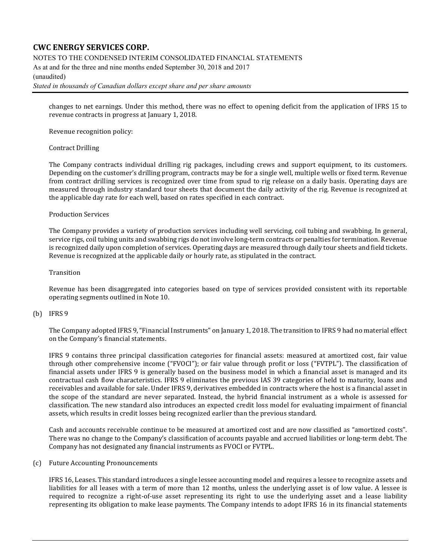NOTES TO THE CONDENSED INTERIM CONSOLIDATED FINANCIAL STATEMENTS

As at and for the three and nine months ended September 30, 2018 and 2017 (unaudited)

#### *Stated in thousands of Canadian dollars except share and per share amounts*

changes to net earnings. Under this method, there was no effect to opening deficit from the application of IFRS 15 to revenue contracts in progress at January 1, 2018.

Revenue recognition policy:

#### Contract Drilling

The Company contracts individual drilling rig packages, including crews and support equipment, to its customers. Depending on the customer's drilling program, contracts may be for a single well, multiple wells or fixed term. Revenue from contract drilling services is recognized over time from spud to rig release on a daily basis. Operating days are measured through industry standard tour sheets that document the daily activity of the rig. Revenue is recognized at the applicable day rate for each well, based on rates specified in each contract.

#### Production Services

The Company provides a variety of production services including well servicing, coil tubing and swabbing. In general, service rigs, coil tubing units and swabbing rigs do not involve long-term contracts or penalties for termination. Revenue is recognized daily upon completion of services. Operating days are measured through daily tour sheets and field tickets. Revenue is recognized at the applicable daily or hourly rate, as stipulated in the contract.

#### Transition

Revenue has been disaggregated into categories based on type of services provided consistent with its reportable operating segments outlined in Note 10.

#### (b) IFRS 9

The Company adopted IFRS 9, "Financial Instruments" on January 1, 2018. The transition to IFRS 9 had no material effect on the Company's financial statements.

IFRS 9 contains three principal classification categories for financial assets: measured at amortized cost, fair value through other comprehensive income ("FVOCI"); or fair value through profit or loss ("FVTPL"). The classification of financial assets under IFRS 9 is generally based on the business model in which a financial asset is managed and its contractual cash flow characteristics. IFRS 9 eliminates the previous IAS 39 categories of held to maturity, loans and receivables and available for sale. Under IFRS 9, derivatives embedded in contracts where the host is a financial asset in the scope of the standard are never separated. Instead, the hybrid financial instrument as a whole is assessed for classification. The new standard also introduces an expected credit loss model for evaluating impairment of financial assets, which results in credit losses being recognized earlier than the previous standard.

Cash and accounts receivable continue to be measured at amortized cost and are now classified as "amortized costs". There was no change to the Company's classification of accounts payable and accrued liabilities or long-term debt. The Company has not designated any financial instruments as FVOCI or FVTPL.

#### (c) Future Accounting Pronouncements

IFRS 16, Leases. This standard introduces a single lessee accounting model and requires a lessee to recognize assets and liabilities for all leases with a term of more than 12 months, unless the underlying asset is of low value. A lessee is required to recognize a right-of-use asset representing its right to use the underlying asset and a lease liability representing its obligation to make lease payments. The Company intends to adopt IFRS 16 in its financial statements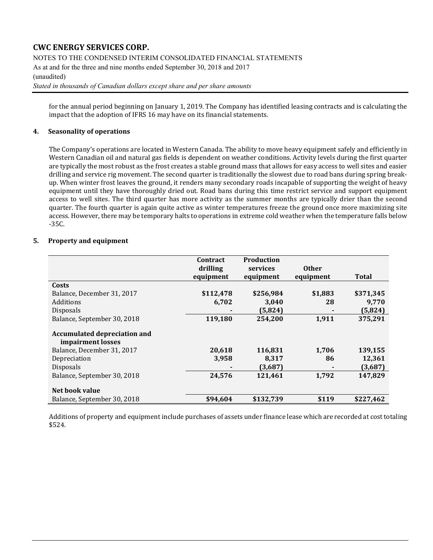NOTES TO THE CONDENSED INTERIM CONSOLIDATED FINANCIAL STATEMENTS

As at and for the three and nine months ended September 30, 2018 and 2017 (unaudited)

*Stated in thousands of Canadian dollars except share and per share amounts*

for the annual period beginning on January 1, 2019. The Company has identified leasing contracts and is calculating the impact that the adoption of IFRS 16 may have on its financial statements.

### **4. Seasonality of operations**

The Company's operations are located in Western Canada. The ability to move heavy equipment safely and efficiently in Western Canadian oil and natural gas fields is dependent on weather conditions. Activity levels during the first quarter are typically the most robust as the frost creates a stable ground mass that allows for easy access to well sites and easier drilling and service rig movement. The second quarter is traditionally the slowest due to road bans during spring breakup. When winter frost leaves the ground, it renders many secondary roads incapable of supporting the weight of heavy equipment until they have thoroughly dried out. Road bans during this time restrict service and support equipment access to well sites. The third quarter has more activity as the summer months are typically drier than the second quarter. The fourth quarter is again quite active as winter temperatures freeze the ground once more maximizing site access. However, there may be temporary halts to operations in extreme cold weather when the temperature falls below -35C.

### **5. Property and equipment**

|                                                          | Contract<br>drilling<br>equipment | <b>Production</b><br>services<br>equipment | <b>Other</b><br>equipment | <b>Total</b> |
|----------------------------------------------------------|-----------------------------------|--------------------------------------------|---------------------------|--------------|
| Costs                                                    |                                   |                                            |                           |              |
| Balance, December 31, 2017                               | \$112,478                         | \$256,984                                  | \$1,883                   | \$371,345    |
| Additions                                                | 6,702                             | 3,040                                      | 28                        | 9,770        |
| <b>Disposals</b>                                         |                                   | (5, 824)                                   |                           | (5,824)      |
| Balance, September 30, 2018                              | 119,180                           | 254,200                                    | 1,911                     | 375,291      |
| <b>Accumulated depreciation and</b><br>impairment losses |                                   |                                            |                           |              |
| Balance, December 31, 2017                               | 20,618                            | 116,831                                    | 1,706                     | 139,155      |
| Depreciation                                             | 3,958                             | 8,317                                      | 86                        | 12,361       |
| <b>Disposals</b>                                         |                                   | (3,687)                                    |                           | (3,687)      |
| Balance, September 30, 2018                              | 24,576                            | 121,461                                    | 1,792                     | 147,829      |
| Net book value                                           |                                   |                                            |                           |              |
| Balance, September 30, 2018                              | \$94,604                          | \$132,739                                  | \$119                     | \$227,462    |

Additions of property and equipment include purchases of assets under finance lease which are recorded at cost totaling \$524.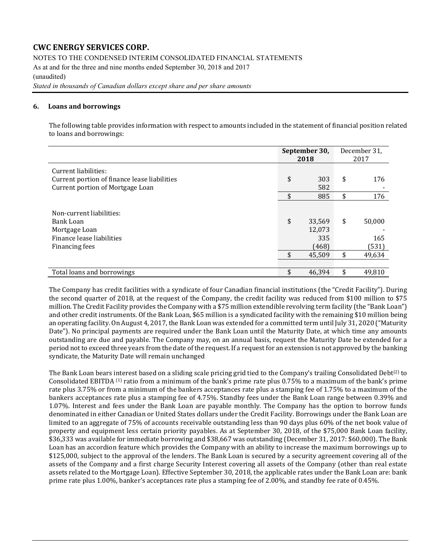NOTES TO THE CONDENSED INTERIM CONSOLIDATED FINANCIAL STATEMENTS As at and for the three and nine months ended September 30, 2018 and 2017 (unaudited) *Stated in thousands of Canadian dollars except share and per share amounts*

#### **6. Loans and borrowings**

The following table provides information with respect to amounts included in the statement of financial position related to loans and borrowings:

|                                                                                                          | September 30,<br>2018 |                                            |          | December 31,<br>2017             |
|----------------------------------------------------------------------------------------------------------|-----------------------|--------------------------------------------|----------|----------------------------------|
| Current liabilities:<br>Current portion of finance lease liabilities<br>Current portion of Mortgage Loan | \$                    | 303<br>582                                 | \$       | 176                              |
|                                                                                                          | \$                    | 885                                        | \$       | 176                              |
| Non-current liabilities:<br>Bank Loan<br>Mortgage Loan<br>Finance lease liabilities<br>Financing fees    | \$<br>\$              | 33,569<br>12,073<br>335<br>(468)<br>45.509 | \$<br>\$ | 50,000<br>165<br>(531)<br>49.634 |
| Total loans and borrowings                                                                               | \$                    | 46.394                                     | \$       | 49,810                           |

The Company has credit facilities with a syndicate of four Canadian financial institutions (the "Credit Facility"). During the second quarter of 2018, at the request of the Company, the credit facility was reduced from \$100 million to \$75 million. The Credit Facility provides the Company with a \$75 million extendible revolving term facility (the "Bank Loan") and other credit instruments. Of the Bank Loan, \$65 million is a syndicated facility with the remaining \$10 million being an operating facility. On August 4, 2017, the Bank Loan was extended for a committed term until July 31, 2020 ("Maturity Date"). No principal payments are required under the Bank Loan until the Maturity Date, at which time any amounts outstanding are due and payable. The Company may, on an annual basis, request the Maturity Date be extended for a period not to exceed three years from the date of the request. If a request for an extension is not approved by the banking syndicate, the Maturity Date will remain unchanged

The Bank Loan bears interest based on a sliding scale pricing grid tied to the Company's trailing Consolidated Debt<sup>(2)</sup> to Consolidated EBITDA<sup>(1)</sup> ratio from a minimum of the bank's prime rate plus 0.75% to a maximum of the bank's prime rate plus 3.75% or from a minimum of the bankers acceptances rate plus a stamping fee of 1.75% to a maximum of the bankers acceptances rate plus a stamping fee of 4.75%. Standby fees under the Bank Loan range between 0.39% and 1.07%. Interest and fees under the Bank Loan are payable monthly. The Company has the option to borrow funds denominated in either Canadian or United States dollars under the Credit Facility. Borrowings under the Bank Loan are limited to an aggregate of 75% of accounts receivable outstanding less than 90 days plus 60% of the net book value of property and equipment less certain priority payables. As at September 30, 2018, of the \$75,000 Bank Loan facility, \$36,333 was available for immediate borrowing and \$38,667 was outstanding (December 31, 2017: \$60,000). The Bank Loan has an accordion feature which provides the Company with an ability to increase the maximum borrowings up to \$125,000, subject to the approval of the lenders. The Bank Loan is secured by a security agreement covering all of the assets of the Company and a first charge Security Interest covering all assets of the Company (other than real estate assets related to the Mortgage Loan). Effective September 30, 2018, the applicable rates under the Bank Loan are: bank prime rate plus 1.00%, banker's acceptances rate plus a stamping fee of 2.00%, and standby fee rate of 0.45%.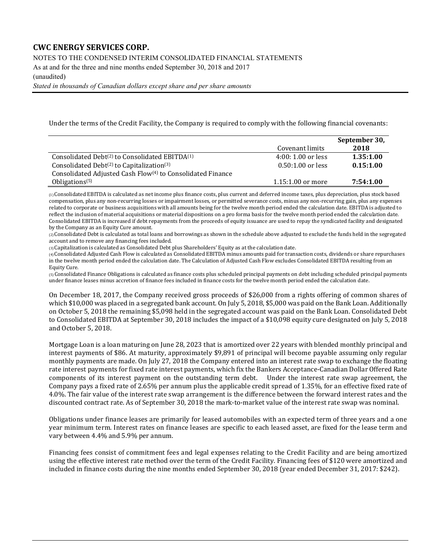NOTES TO THE CONDENSED INTERIM CONSOLIDATED FINANCIAL STATEMENTS

As at and for the three and nine months ended September 30, 2018 and 2017

(unaudited)

*Stated in thousands of Canadian dollars except share and per share amounts*

Under the terms of the Credit Facility, the Company is required to comply with the following financial covenants:

|                                                                        |                     | September 30, |
|------------------------------------------------------------------------|---------------------|---------------|
|                                                                        | Covenant limits     | 2018          |
| Consolidated Debt <sup>(2)</sup> to Consolidated EBITDA <sup>(1)</sup> | $4:00:1.00$ or less | 1.35:1.00     |
| Consolidated Debt <sup>(2)</sup> to Capitalization <sup>(3)</sup>      | $0.50:1.00$ or less | 0.15:1.00     |
| Consolidated Adjusted Cash Flow <sup>(4)</sup> to Consolidated Finance |                     |               |
| Obligations <sup>(5)</sup>                                             | $1.15:1.00$ or more | 7:54:1.00     |

(1) Consolidated EBITDA is calculated as net income plus finance costs, plus current and deferred income taxes, plus depreciation, plus stock based compensation, plus any non-recurring losses or impairment losses, or permitted severance costs, minus any non-recurring gain, plus any expenses related to corporate or business acquisitions with all amounts being for the twelve month period ended the calculation date. EBITDA is adjusted to reflect the inclusion of material acquisitions or material dispositions on a pro forma basis for the twelve month period ended the calculation date. Consolidated EBITDA is increased if debt repayments from the proceeds of equity issuance are used to repay the syndicated facility and designated by the Company as an Equity Cure amount.

(2) Consolidated Debt is calculated as total loans and borrowings as shown in the schedule above adjusted to exclude the funds held in the segregated account and to remove any financing fees included.

(3) Capitalization is calculated as Consolidated Debt plus Shareholders' Equity as at the calculation date.

(4) Consolidated Adjusted Cash Flow is calculated as Consolidated EBITDA minus amounts paid for transaction costs, dividends or share repurchases in the twelve month period ended the calculation date. The Calculation of Adjusted Cash Flow excludes Consolidated EBITDA resulting from an Equity Cure.

(5) Consolidated Finance Obligations is calculated as finance costs plus scheduled principal payments on debt including scheduled principal payments under finance leases minus accretion of finance fees included in finance costs for the twelve month period ended the calculation date.

On December 18, 2017, the Company received gross proceeds of \$26,000 from a rights offering of common shares of which \$10,000 was placed in a segregated bank account. On July 5, 2018, \$5,000 was paid on the Bank Loan. Additionally on October 5, 2018 the remaining \$5,098 held in the segregated account was paid on the Bank Loan. Consolidated Debt to Consolidated EBITDA at September 30, 2018 includes the impact of a \$10,098 equity cure designated on July 5, 2018 and October 5, 2018.

Mortgage Loan is a loan maturing on June 28, 2023 that is amortized over 22 years with blended monthly principal and interest payments of \$86. At maturity, approximately \$9,891 of principal will become payable assuming only regular monthly payments are made. On July 27, 2018 the Company entered into an interest rate swap to exchange the floating rate interest payments for fixed rate interest payments, which fix the Bankers Acceptance-Canadian Dollar Offered Rate components of its interest payment on the outstanding term debt. Under the interest rate swap agreement components of its interest payment on the outstanding term debt. Company pays a fixed rate of 2.65% per annum plus the applicable credit spread of 1.35%, for an effective fixed rate of 4.0%. The fair value of the interest rate swap arrangement is the difference between the forward interest rates and the discounted contract rate. As of September 30, 2018 the mark-to-market value of the interest rate swap was nominal.

Obligations under finance leases are primarily for leased automobiles with an expected term of three years and a one year minimum term. Interest rates on finance leases are specific to each leased asset, are fixed for the lease term and vary between 4.4% and 5.9% per annum.

Financing fees consist of commitment fees and legal expenses relating to the Credit Facility and are being amortized using the effective interest rate method over the term of the Credit Facility. Financing fees of \$120 were amortized and included in finance costs during the nine months ended September 30, 2018 (year ended December 31, 2017: \$242).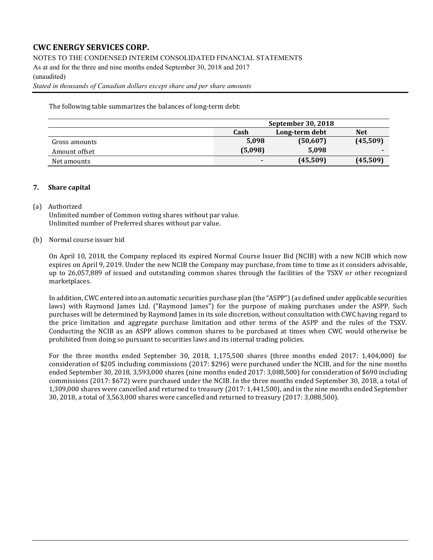NOTES TO THE CONDENSED INTERIM CONSOLIDATED FINANCIAL STATEMENTS

As at and for the three and nine months ended September 30, 2018 and 2017 (unaudited)

*Stated in thousands of Canadian dollars except share and per share amounts*

The following table summarizes the balances of long-term debt:

|               | September 30, 2018 |            |          |  |  |  |
|---------------|--------------------|------------|----------|--|--|--|
|               | Cash               | <b>Net</b> |          |  |  |  |
| Gross amounts | 5.098              | (50,607)   | (45,509) |  |  |  |
| Amount offset | (5,098)            | 5,098      |          |  |  |  |
| Net amounts   |                    | (45,509)   | (45,509) |  |  |  |

### **7. Share capital**

#### (a) Authorized

Unlimited number of Common voting shares without par value. Unlimited number of Preferred shares without par value.

#### (b) Normal course issuer bid

On April 10, 2018, the Company replaced its expired Normal Course Issuer Bid (NCIB) with a new NCIB which now expires on April 9, 2019. Under the new NCIB the Company may purchase, from time to time as it considers advisable, up to 26,057,889 of issued and outstanding common shares through the facilities of the TSXV or other recognized marketplaces.

In addition, CWC entered into an automatic securities purchase plan (the "ASPP") (as defined under applicable securities laws) with Raymond James Ltd. ("Raymond James") for the purpose of making purchases under the ASPP. Such purchases will be determined by Raymond James in its sole discretion, without consultation with CWC having regard to the price limitation and aggregate purchase limitation and other terms of the ASPP and the rules of the TSXV. Conducting the NCIB as an ASPP allows common shares to be purchased at times when CWC would otherwise be prohibited from doing so pursuant to securities laws and its internal trading policies.

For the three months ended September 30, 2018, 1,175,500 shares (three months ended 2017: 1,404,000) for consideration of \$205 including commissions (2017: \$296) were purchased under the NCIB, and for the nine months ended September 30, 2018, 3,593,000 shares (nine months ended 2017: 3,088,500) for consideration of \$690 including commissions (2017: \$672) were purchased under the NCIB. In the three months ended September 30, 2018, a total of 1,309,000 shares were cancelled and returned to treasury (2017: 1,441,500), and in the nine months ended September 30, 2018, a total of 3,563,000 shares were cancelled and returned to treasury (2017: 3,088,500).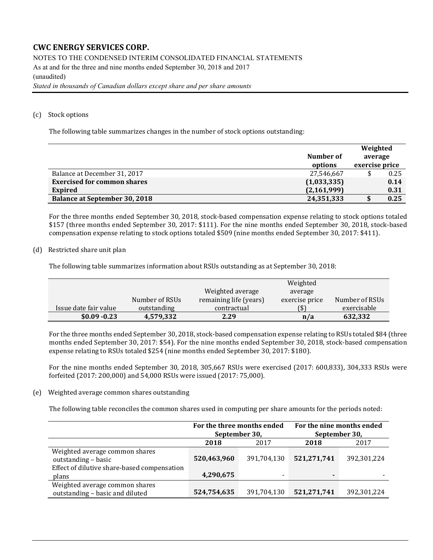NOTES TO THE CONDENSED INTERIM CONSOLIDATED FINANCIAL STATEMENTS As at and for the three and nine months ended September 30, 2018 and 2017 (unaudited) *Stated in thousands of Canadian dollars except share and per share amounts*

#### (c) Stock options

The following table summarizes changes in the number of stock options outstanding:

|                                      |             | Weighted       |      |
|--------------------------------------|-------------|----------------|------|
|                                      | Number of   | average        |      |
|                                      | options     | exercise price |      |
| Balance at December 31, 2017         | 27,546,667  |                | 0.25 |
| <b>Exercised for common shares</b>   | (1,033,335) |                | 0.14 |
| <b>Expired</b>                       | (2,161,999) |                | 0.31 |
| <b>Balance at September 30, 2018</b> | 24,351,333  |                | 0.25 |

For the three months ended September 30, 2018, stock-based compensation expense relating to stock options totaled \$157 (three months ended September 30, 2017: \$111). For the nine months ended September 30, 2018, stock-based compensation expense relating to stock options totaled \$509 (nine months ended September 30, 2017: \$411).

#### (d) Restricted share unit plan

The following table summarizes information about RSUs outstanding as at September 30, 2018:

|                       |                |                        | Weighted       |                |
|-----------------------|----------------|------------------------|----------------|----------------|
|                       |                | Weighted average       | average        |                |
|                       | Number of RSUs | remaining life (years) | exercise price | Number of RSUs |
| Issue date fair value | outstanding    | contractual            | (\$)           | exercisable    |
| $$0.09 - 0.23$        | 4,579,332      | 2.29                   | n/a            | 632,332        |

For the three months ended September 30, 2018, stock-based compensation expense relating to RSUs totaled \$84 (three months ended September 30, 2017: \$54). For the nine months ended September 30, 2018, stock-based compensation expense relating to RSUs totaled \$254 (nine months ended September 30, 2017: \$180).

For the nine months ended September 30, 2018, 305,667 RSUs were exercised (2017: 600,833), 304,333 RSUs were forfeited (2017: 200,000) and 54,000 RSUs were issued (2017: 75,000).

#### (e) Weighted average common shares outstanding

The following table reconciles the common shares used in computing per share amounts for the periods noted:

|                                                                   | For the three months ended<br>September 30, |             | For the nine months ended<br>September 30, |             |
|-------------------------------------------------------------------|---------------------------------------------|-------------|--------------------------------------------|-------------|
|                                                                   | 2018                                        | 2017        | 2018                                       | 2017        |
| Weighted average common shares<br>outstanding - basic             | 520,463,960                                 | 391,704,130 | 521,271,741                                | 392,301,224 |
| Effect of dilutive share-based compensation<br>plans              | 4,290,675                                   |             |                                            |             |
| Weighted average common shares<br>outstanding - basic and diluted | 524,754,635                                 | 391,704,130 | 521,271,741                                | 392,301,224 |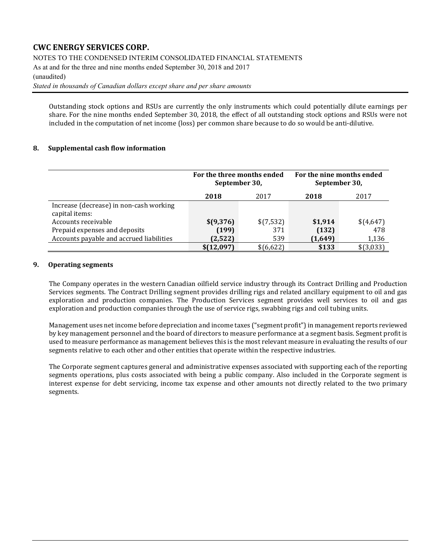NOTES TO THE CONDENSED INTERIM CONSOLIDATED FINANCIAL STATEMENTS

As at and for the three and nine months ended September 30, 2018 and 2017

#### (unaudited)

*Stated in thousands of Canadian dollars except share and per share amounts*

Outstanding stock options and RSUs are currently the only instruments which could potentially dilute earnings per share. For the nine months ended September 30, 2018, the effect of all outstanding stock options and RSUs were not included in the computation of net income (loss) per common share because to do so would be anti-dilutive.

### **8. Supplemental cash flow information**

|                                                           | For the three months ended<br>September 30, |           | For the nine months ended<br>September 30, |           |  |
|-----------------------------------------------------------|---------------------------------------------|-----------|--------------------------------------------|-----------|--|
|                                                           | 2018                                        | 2017      | 2018                                       | 2017      |  |
| Increase (decrease) in non-cash working<br>capital items: |                                             |           |                                            |           |  |
| Accounts receivable                                       | \$(9,376)                                   | \$(7,532) | \$1,914                                    | \$(4,647) |  |
| Prepaid expenses and deposits                             | (199)                                       | 371       | (132)                                      | 478       |  |
| Accounts payable and accrued liabilities                  | (2,522)                                     | 539       | (1,649)                                    | 1,136     |  |
|                                                           | \$(12,097)                                  | \$(6,622) | \$133                                      | \$(3,033) |  |

### **9. Operating segments**

The Company operates in the western Canadian oilfield service industry through its Contract Drilling and Production Services segments. The Contract Drilling segment provides drilling rigs and related ancillary equipment to oil and gas exploration and production companies. The Production Services segment provides well services to oil and gas exploration and production companies through the use of service rigs, swabbing rigs and coil tubing units.

Management uses net income before depreciation and income taxes ("segment profit") in management reports reviewed by key management personnel and the board of directors to measure performance at a segment basis. Segment profit is used to measure performance as management believes this is the most relevant measure in evaluating the results of our segments relative to each other and other entities that operate within the respective industries.

The Corporate segment captures general and administrative expenses associated with supporting each of the reporting segments operations, plus costs associated with being a public company. Also included in the Corporate segment is interest expense for debt servicing, income tax expense and other amounts not directly related to the two primary segments.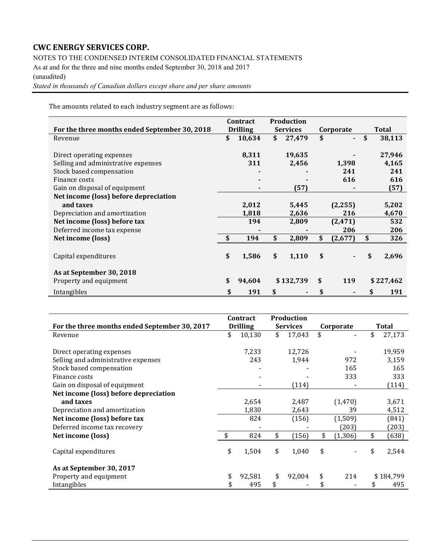NOTES TO THE CONDENSED INTERIM CONSOLIDATED FINANCIAL STATEMENTS

As at and for the three and nine months ended September 30, 2018 and 2017 (unaudited)

*Stated in thousands of Canadian dollars except share and per share amounts*

The amounts related to each industry segment are as follows:

|                                               | Contract        | <b>Production</b> |               |              |
|-----------------------------------------------|-----------------|-------------------|---------------|--------------|
| For the three months ended September 30, 2018 | <b>Drilling</b> | <b>Services</b>   | Corporate     | <b>Total</b> |
| Revenue                                       | \$<br>10,634    | \$<br>27,479      | \$            | \$<br>38,113 |
|                                               |                 |                   |               |              |
| Direct operating expenses                     | 8,311           | 19,635            |               | 27,946       |
| Selling and administrative expenses           | 311             | 2,456             | 1,398         | 4,165        |
| Stock based compensation                      |                 |                   | 241           | 241          |
| Finance costs                                 |                 |                   | 616           | 616          |
| Gain on disposal of equipment                 |                 | (57)              |               | (57)         |
| Net income (loss) before depreciation         |                 |                   |               |              |
| and taxes                                     | 2,012           | 5,445             | (2, 255)      | 5,202        |
| Depreciation and amortization                 | 1,818           | 2,636             | 216           | 4,670        |
| Net income (loss) before tax                  | 194             | 2,809             | (2, 471)      | 532          |
| Deferred income tax expense                   |                 |                   | 206           | 206          |
| Net income (loss)                             | \$<br>194       | \$<br>2,809       | \$<br>(2,677) | \$<br>326    |
|                                               |                 |                   |               |              |
| Capital expenditures                          | \$<br>1,586     | \$<br>1,110       | \$            | \$<br>2,696  |
|                                               |                 |                   |               |              |
| As at September 30, 2018                      |                 |                   |               |              |
| Property and equipment                        | \$<br>94,604    | \$132,739         | \$<br>119     | \$227,462    |
| Intangibles                                   | \$<br>191       | \$                | \$            | \$<br>191    |

|                                               | Contract        |     | Production      |                |             |
|-----------------------------------------------|-----------------|-----|-----------------|----------------|-------------|
| For the three months ended September 30, 2017 | <b>Drilling</b> |     | <b>Services</b> | Corporate      | Total       |
| Revenue                                       | \$<br>10,130    | \$  | 17,043          | \$             | 27,173      |
|                                               |                 |     |                 |                |             |
| Direct operating expenses                     | 7,233           |     | 12,726          |                | 19,959      |
| Selling and administrative expenses           | 243             |     | 1,944           | 972            | 3,159       |
| Stock based compensation                      |                 |     |                 | 165            | 165         |
| Finance costs                                 |                 |     |                 | 333            | 333         |
| Gain on disposal of equipment                 |                 |     | (114)           |                | (114)       |
| Net income (loss) before depreciation         |                 |     |                 |                |             |
| and taxes                                     | 2,654           |     | 2,487           | (1, 470)       | 3,671       |
| Depreciation and amortization                 | 1,830           |     | 2,643           | 39             | 4,512       |
| Net income (loss) before tax                  | 824             |     | (156)           | (1,509)        | (841)       |
| Deferred income tax recovery                  |                 |     |                 | (203)          | (203)       |
| Net income (loss)                             | 824             | \$  | (156)           | \$<br>(1, 306) | \$<br>(638) |
| Capital expenditures                          | \$<br>1,504     | \$  | 1,040           | \$             | \$<br>2,544 |
| As at September 30, 2017                      |                 |     |                 |                |             |
| Property and equipment                        | \$<br>92,581    | \$  | 92,004          | \$<br>214      | \$184,799   |
| Intangibles                                   | 495             | \$. |                 |                | 495         |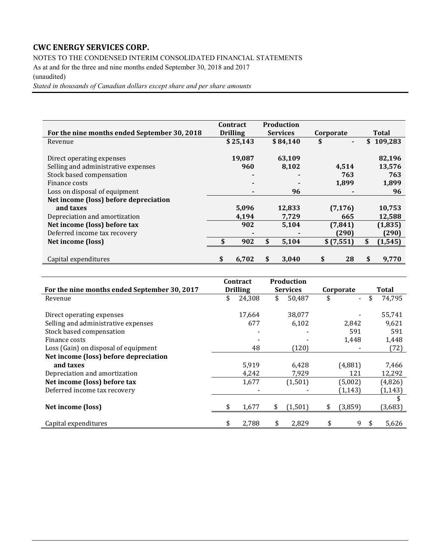NOTES TO THE CONDENSED INTERIM CONSOLIDATED FINANCIAL STATEMENTS

As at and for the three and nine months ended September 30, 2018 and 2017 (unaudited)

*Stated in thousands of Canadian dollars except share and per share amounts*

|                                              | <b>Contract</b> | <b>Production</b> |           |           |              |           |  |
|----------------------------------------------|-----------------|-------------------|-----------|-----------|--------------|-----------|--|
| For the nine months ended September 30, 2018 | <b>Drilling</b> | <b>Services</b>   | Corporate |           | <b>Total</b> |           |  |
| Revenue                                      | \$25,143        | \$84,140          | \$        |           |              | \$109,283 |  |
|                                              |                 |                   |           |           |              |           |  |
| Direct operating expenses                    | 19,087          | 63,109            |           |           |              | 82,196    |  |
| Selling and administrative expenses          | 960             | 8,102             |           | 4,514     |              | 13,576    |  |
| Stock based compensation                     |                 |                   |           | 763       |              | 763       |  |
| Finance costs                                |                 |                   |           | 1,899     |              | 1,899     |  |
| Loss on disposal of equipment                | ٠               | 96                |           |           |              | 96        |  |
| Net income (loss) before depreciation        |                 |                   |           |           |              |           |  |
| and taxes                                    | 5,096           | 12,833            |           | (7, 176)  |              | 10,753    |  |
| Depreciation and amortization                | 4,194           | 7,729             |           | 665       |              | 12,588    |  |
| Net income (loss) before tax                 | 902             | 5,104             |           | (7, 841)  |              | (1, 835)  |  |
| Deferred income tax recovery                 |                 |                   |           | (290)     |              | (290)     |  |
| Net income (loss)                            | 902             | \$<br>5,104       |           | \$(7,551) |              | (1, 545)  |  |
|                                              |                 |                   |           |           |              |           |  |
| Capital expenditures                         | \$<br>6.702     | \$<br>3.040       | \$        | 28        | S            | 9.770     |  |

|                                              | Contract        | Production      |                                |    |              |
|----------------------------------------------|-----------------|-----------------|--------------------------------|----|--------------|
| For the nine months ended September 30, 2017 | <b>Drilling</b> | <b>Services</b> | Corporate                      |    | <b>Total</b> |
| Revenue                                      | \$<br>24,308    | \$<br>50,487    | \$<br>$\overline{\phantom{0}}$ | \$ | 74,795       |
|                                              |                 |                 |                                |    |              |
| Direct operating expenses                    | 17,664          | 38,077          |                                |    | 55,741       |
| Selling and administrative expenses          | 677             | 6,102           | 2,842                          |    | 9,621        |
| Stock based compensation                     |                 |                 | 591                            |    | 591          |
| Finance costs                                |                 |                 | 1,448                          |    | 1,448        |
| Loss (Gain) on disposal of equipment         | 48              | (120)           |                                |    | (72)         |
| Net income (loss) before depreciation        |                 |                 |                                |    |              |
| and taxes                                    | 5,919           | 6,428           | (4,881)                        |    | 7,466        |
| Depreciation and amortization                | 4,242           | 7,929           | 121                            |    | 12,292       |
| Net income (loss) before tax                 | 1,677           | (1,501)         | (5,002)                        |    | (4,826)      |
| Deferred income tax recovery                 |                 |                 | (1, 143)                       |    | (1, 143)     |
|                                              |                 |                 |                                |    | \$           |
| Net income (loss)                            | \$<br>1,677     | \$<br>(1,501)   | \$<br>(3,859)                  |    | (3,683)      |
|                                              |                 |                 |                                |    |              |
| Capital expenditures                         | \$<br>2,788     | \$<br>2,829     | \$<br>9                        | S. | 5,626        |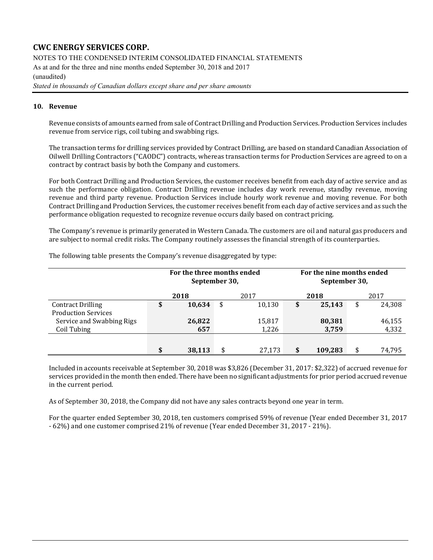NOTES TO THE CONDENSED INTERIM CONSOLIDATED FINANCIAL STATEMENTS As at and for the three and nine months ended September 30, 2018 and 2017 (unaudited)

*Stated in thousands of Canadian dollars except share and per share amounts*

#### **10. Revenue**

Revenue consists of amounts earned from sale of Contract Drilling and Production Services. Production Services includes revenue from service rigs, coil tubing and swabbing rigs.

The transaction terms for drilling services provided by Contract Drilling, are based on standard Canadian Association of Oilwell Drilling Contractors ("CAODC") contracts, whereas transaction terms for Production Services are agreed to on a contract by contract basis by both the Company and customers.

For both Contract Drilling and Production Services, the customer receives benefit from each day of active service and as such the performance obligation. Contract Drilling revenue includes day work revenue, standby revenue, moving revenue and third party revenue. Production Services include hourly work revenue and moving revenue. For both Contract Drilling and Production Services, the customer receives benefit from each day of active services and as such the performance obligation requested to recognize revenue occurs daily based on contract pricing.

The Company's revenue is primarily generated in Western Canada. The customers are oil and natural gas producers and are subject to normal credit risks. The Company routinely assesses the financial strength of its counterparties.

|                            | For the three months ended<br>September 30, |    |        | September 30, | For the nine months ended |        |  |  |
|----------------------------|---------------------------------------------|----|--------|---------------|---------------------------|--------|--|--|
|                            | 2018                                        |    | 2017   | 2018          | 2017                      |        |  |  |
| <b>Contract Drilling</b>   | \$<br>10,634                                | \$ | 10,130 | \$<br>25,143  | \$                        | 24,308 |  |  |
| <b>Production Services</b> |                                             |    |        |               |                           |        |  |  |
| Service and Swabbing Rigs  | 26,822                                      |    | 15,817 | 80,381        |                           | 46,155 |  |  |
| Coil Tubing                | 657                                         |    | 1,226  | 3,759         |                           | 4,332  |  |  |
|                            |                                             |    |        |               |                           |        |  |  |
|                            | 38,113                                      | ¢  | 27,173 | \$<br>109,283 |                           | 74,795 |  |  |

The following table presents the Company's revenue disaggregated by type:

Included in accounts receivable at September 30, 2018 was \$3,826 (December 31, 2017: \$2,322) of accrued revenue for services provided in the month then ended. There have been no significant adjustments for prior period accrued revenue in the current period.

As of September 30, 2018, the Company did not have any sales contracts beyond one year in term.

For the quarter ended September 30, 2018, ten customers comprised 59% of revenue (Year ended December 31, 2017 - 62%) and one customer comprised 21% of revenue (Year ended December 31, 2017 - 21%).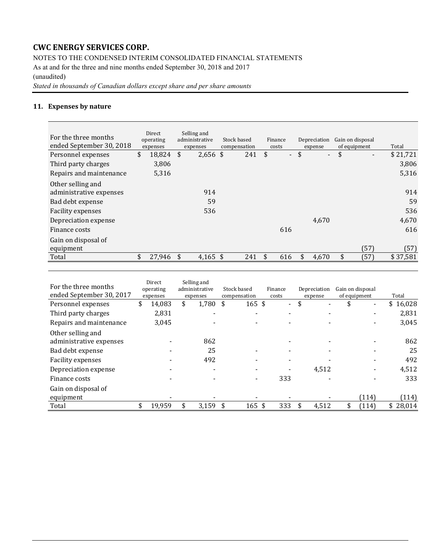NOTES TO THE CONDENSED INTERIM CONSOLIDATED FINANCIAL STATEMENTS

As at and for the three and nine months ended September 30, 2018 and 2017 (unaudited)

*Stated in thousands of Canadian dollars except share and per share amounts*

### **11. Expenses by nature**

| For the three months<br>ended September 30, 2018                                             | Direct<br>operating<br>expenses |     | Selling and<br>administrative<br>expenses | Stock based<br>compensation | Finance<br>costs                  | Depreciation<br>expense | Gain on disposal<br>of equipment | Total            |
|----------------------------------------------------------------------------------------------|---------------------------------|-----|-------------------------------------------|-----------------------------|-----------------------------------|-------------------------|----------------------------------|------------------|
| Personnel expenses                                                                           | \$<br>18,824                    | \$  | $2,656$ \$                                | 241                         | \$<br>$\mathcal{L}_{\mathcal{A}}$ | \$<br>$\sim$            | \$<br>$\blacksquare$             | \$21,721         |
| Third party charges                                                                          | 3,806                           |     |                                           |                             |                                   |                         |                                  | 3,806            |
| Repairs and maintenance                                                                      | 5,316                           |     |                                           |                             |                                   |                         |                                  | 5,316            |
| Other selling and<br>administrative expenses<br>Bad debt expense<br><b>Facility expenses</b> |                                 |     | 914<br>59<br>536                          |                             |                                   |                         |                                  | 914<br>59<br>536 |
| Depreciation expense                                                                         |                                 |     |                                           |                             |                                   | 4.670                   |                                  | 4,670            |
| Finance costs                                                                                |                                 |     |                                           |                             | 616                               |                         |                                  | 616              |
| Gain on disposal of<br>equipment                                                             |                                 |     |                                           |                             |                                   |                         | (57)                             | (57)             |
| Total                                                                                        | \$<br>27,946                    | -\$ | 4,165 \$                                  | 241                         | \$<br>616                         | \$<br>4,670             | \$<br>(57)                       | \$37,581         |

| For the three months<br>ended September 30, 2017 | Direct<br>operating<br>expenses | Selling and<br>administrative<br>expenses | Stock based<br>compensation | Finance<br>costs | Depreciation<br>expense | Gain on disposal<br>of equipment | Total    |
|--------------------------------------------------|---------------------------------|-------------------------------------------|-----------------------------|------------------|-------------------------|----------------------------------|----------|
| Personnel expenses                               | \$<br>14,083                    | \$<br>1,780                               | \$<br>$165$ \$              | $\sim$           | \$                      |                                  | \$16,028 |
| Third party charges                              | 2,831                           |                                           |                             |                  |                         |                                  | 2,831    |
| Repairs and maintenance                          | 3,045                           |                                           |                             |                  |                         |                                  | 3,045    |
| Other selling and                                |                                 |                                           |                             |                  |                         |                                  |          |
| administrative expenses                          |                                 | 862                                       |                             |                  |                         |                                  | 862      |
| Bad debt expense                                 |                                 | 25                                        |                             |                  |                         |                                  | 25       |
| Facility expenses                                |                                 | 492                                       |                             |                  |                         |                                  | 492      |
| Depreciation expense                             |                                 |                                           |                             |                  | 4.512                   |                                  | 4,512    |
| Finance costs                                    |                                 |                                           |                             | 333              |                         |                                  | 333      |
| Gain on disposal of                              |                                 |                                           |                             |                  |                         |                                  |          |
| equipment                                        |                                 |                                           |                             |                  |                         | (114)                            | (114)    |
| Total                                            | \$<br>19,959                    | 3,159                                     | \$<br>$165$ \$              | 333              | 4,512                   | (114)                            | \$28,014 |